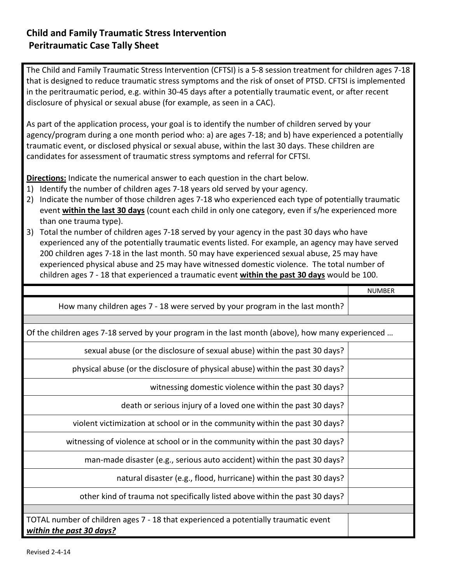The Child and Family Traumatic Stress Intervention (CFTSI) is a 5-8 session treatment for children ages 7-18 that is designed to reduce traumatic stress symptoms and the risk of onset of PTSD. CFTSI is implemented in the peritraumatic period, e.g. within 30-45 days after a potentially traumatic event, or after recent disclosure of physical or sexual abuse (for example, as seen in a CAC).

As part of the application process, your goal is to identify the number of children served by your agency/program during a one month period who: a) are ages 7-18; and b) have experienced a potentially traumatic event, or disclosed physical or sexual abuse, within the last 30 days. These children are candidates for assessment of traumatic stress symptoms and referral for CFTSI.

**Directions:** Indicate the numerical answer to each question in the chart below.

- 1) Identify the number of children ages 7-18 years old served by your agency.
- 2) Indicate the number of those children ages 7-18 who experienced each type of potentially traumatic event **within the last 30 days** (count each child in only one category, even if s/he experienced more than one trauma type).
- 3) Total the number of children ages 7-18 served by your agency in the past 30 days who have experienced any of the potentially traumatic events listed. For example, an agency may have served 200 children ages 7-18 in the last month. 50 may have experienced sexual abuse, 25 may have experienced physical abuse and 25 may have witnessed domestic violence. The total number of children ages 7 - 18 that experienced a traumatic event **within the past 30 days** would be 100.

|                                                                                                  | <b>NUMBER</b> |
|--------------------------------------------------------------------------------------------------|---------------|
| How many children ages 7 - 18 were served by your program in the last month?                     |               |
|                                                                                                  |               |
| Of the children ages 7-18 served by your program in the last month (above), how many experienced |               |
| sexual abuse (or the disclosure of sexual abuse) within the past 30 days?                        |               |
| physical abuse (or the disclosure of physical abuse) within the past 30 days?                    |               |
| witnessing domestic violence within the past 30 days?                                            |               |
| death or serious injury of a loved one within the past 30 days?                                  |               |
| violent victimization at school or in the community within the past 30 days?                     |               |
| witnessing of violence at school or in the community within the past 30 days?                    |               |
| man-made disaster (e.g., serious auto accident) within the past 30 days?                         |               |
| natural disaster (e.g., flood, hurricane) within the past 30 days?                               |               |
| other kind of trauma not specifically listed above within the past 30 days?                      |               |
|                                                                                                  |               |
| TOTAL number of children ages 7 - 18 that experienced a potentially traumatic event              |               |
| within the past 30 days?                                                                         |               |